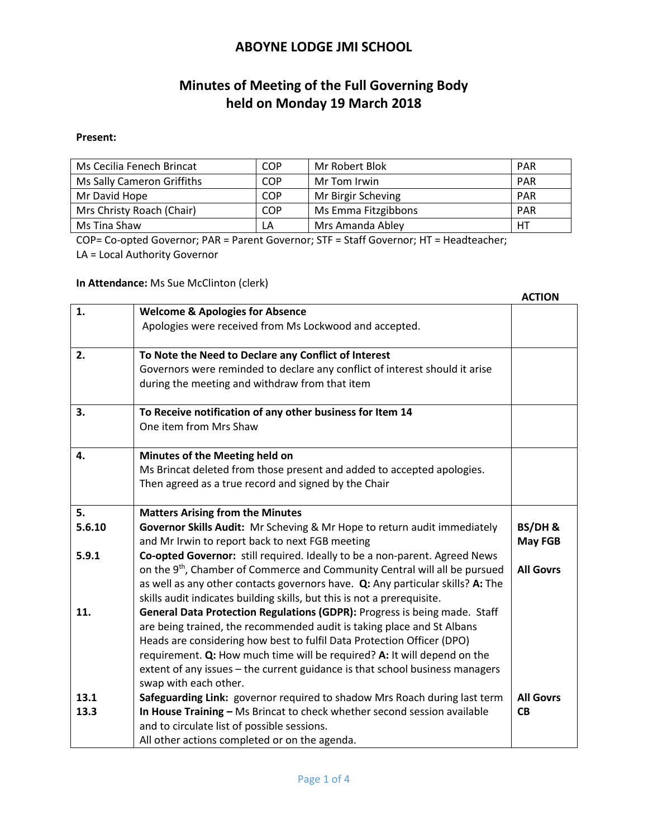# **Minutes of Meeting of the Full Governing Body held on Monday 19 March 2018**

#### **Present:**

| Ms Cecilia Fenech Brincat  | <b>COP</b> | Mr Robert Blok      | <b>PAR</b> |
|----------------------------|------------|---------------------|------------|
| Ms Sally Cameron Griffiths | <b>COP</b> | Mr Tom Irwin        | <b>PAR</b> |
| Mr David Hope              | <b>COP</b> | Mr Birgir Scheving  | <b>PAR</b> |
| Mrs Christy Roach (Chair)  | <b>COP</b> | Ms Emma Fitzgibbons | <b>PAR</b> |
| Ms Tina Shaw               | LA         | Mrs Amanda Abley    | НT         |

COP= Co-opted Governor; PAR = Parent Governor; STF = Staff Governor; HT = Headteacher; LA = Local Authority Governor

**In Attendance:** Ms Sue McClinton (clerk)

|        |                                                                                        | <b>ACTION</b>    |
|--------|----------------------------------------------------------------------------------------|------------------|
| 1.     | <b>Welcome &amp; Apologies for Absence</b>                                             |                  |
|        | Apologies were received from Ms Lockwood and accepted.                                 |                  |
| 2.     | To Note the Need to Declare any Conflict of Interest                                   |                  |
|        | Governors were reminded to declare any conflict of interest should it arise            |                  |
|        | during the meeting and withdraw from that item                                         |                  |
| 3.     | To Receive notification of any other business for Item 14                              |                  |
|        | One item from Mrs Shaw                                                                 |                  |
| 4.     | Minutes of the Meeting held on                                                         |                  |
|        | Ms Brincat deleted from those present and added to accepted apologies.                 |                  |
|        | Then agreed as a true record and signed by the Chair                                   |                  |
| 5.     | <b>Matters Arising from the Minutes</b>                                                |                  |
| 5.6.10 | Governor Skills Audit: Mr Scheving & Mr Hope to return audit immediately               | BS/DH&           |
|        | and Mr Irwin to report back to next FGB meeting                                        | <b>May FGB</b>   |
| 5.9.1  | Co-opted Governor: still required. Ideally to be a non-parent. Agreed News             |                  |
|        | on the 9 <sup>th</sup> , Chamber of Commerce and Community Central will all be pursued | <b>All Govrs</b> |
|        | as well as any other contacts governors have. Q: Any particular skills? A: The         |                  |
|        | skills audit indicates building skills, but this is not a prerequisite.                |                  |
| 11.    | General Data Protection Regulations (GDPR): Progress is being made. Staff              |                  |
|        | are being trained, the recommended audit is taking place and St Albans                 |                  |
|        | Heads are considering how best to fulfil Data Protection Officer (DPO)                 |                  |
|        | requirement. Q: How much time will be required? A: It will depend on the               |                  |
|        | extent of any issues - the current guidance is that school business managers           |                  |
|        | swap with each other.                                                                  |                  |
| 13.1   | Safeguarding Link: governor required to shadow Mrs Roach during last term              | <b>All Govrs</b> |
| 13.3   | In House Training - Ms Brincat to check whether second session available               | <b>CB</b>        |
|        | and to circulate list of possible sessions.                                            |                  |
|        | All other actions completed or on the agenda.                                          |                  |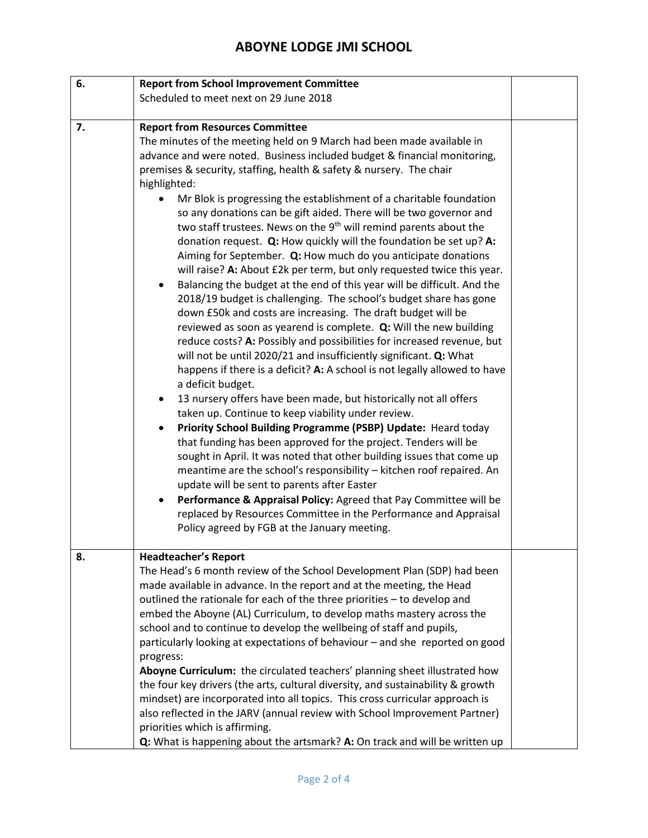| 6. | <b>Report from School Improvement Committee</b>                                                                                                                                                                                                                                                                                                                                                                                                                                                                                                                                                                                                                                                                                                                                                                                                                                                                                                                                                                                                                                                                                                                                                                                                                                                                                                                                                                                                                                                                                                                                                                                                                                                                                                                                                                                                                                                                                                                        |  |
|----|------------------------------------------------------------------------------------------------------------------------------------------------------------------------------------------------------------------------------------------------------------------------------------------------------------------------------------------------------------------------------------------------------------------------------------------------------------------------------------------------------------------------------------------------------------------------------------------------------------------------------------------------------------------------------------------------------------------------------------------------------------------------------------------------------------------------------------------------------------------------------------------------------------------------------------------------------------------------------------------------------------------------------------------------------------------------------------------------------------------------------------------------------------------------------------------------------------------------------------------------------------------------------------------------------------------------------------------------------------------------------------------------------------------------------------------------------------------------------------------------------------------------------------------------------------------------------------------------------------------------------------------------------------------------------------------------------------------------------------------------------------------------------------------------------------------------------------------------------------------------------------------------------------------------------------------------------------------------|--|
|    | Scheduled to meet next on 29 June 2018                                                                                                                                                                                                                                                                                                                                                                                                                                                                                                                                                                                                                                                                                                                                                                                                                                                                                                                                                                                                                                                                                                                                                                                                                                                                                                                                                                                                                                                                                                                                                                                                                                                                                                                                                                                                                                                                                                                                 |  |
|    |                                                                                                                                                                                                                                                                                                                                                                                                                                                                                                                                                                                                                                                                                                                                                                                                                                                                                                                                                                                                                                                                                                                                                                                                                                                                                                                                                                                                                                                                                                                                                                                                                                                                                                                                                                                                                                                                                                                                                                        |  |
| 7. | <b>Report from Resources Committee</b><br>The minutes of the meeting held on 9 March had been made available in<br>advance and were noted. Business included budget & financial monitoring,<br>premises & security, staffing, health & safety & nursery. The chair<br>highlighted:<br>Mr Blok is progressing the establishment of a charitable foundation<br>so any donations can be gift aided. There will be two governor and<br>two staff trustees. News on the 9 <sup>th</sup> will remind parents about the<br>donation request. Q: How quickly will the foundation be set up? A:<br>Aiming for September. Q: How much do you anticipate donations<br>will raise? A: About £2k per term, but only requested twice this year.<br>Balancing the budget at the end of this year will be difficult. And the<br>$\bullet$<br>2018/19 budget is challenging. The school's budget share has gone<br>down £50k and costs are increasing. The draft budget will be<br>reviewed as soon as yearend is complete. Q: Will the new building<br>reduce costs? A: Possibly and possibilities for increased revenue, but<br>will not be until 2020/21 and insufficiently significant. Q: What<br>happens if there is a deficit? A: A school is not legally allowed to have<br>a deficit budget.<br>13 nursery offers have been made, but historically not all offers<br>$\bullet$<br>taken up. Continue to keep viability under review.<br>Priority School Building Programme (PSBP) Update: Heard today<br>$\bullet$<br>that funding has been approved for the project. Tenders will be<br>sought in April. It was noted that other building issues that come up<br>meantime are the school's responsibility - kitchen roof repaired. An<br>update will be sent to parents after Easter<br>Performance & Appraisal Policy: Agreed that Pay Committee will be<br>replaced by Resources Committee in the Performance and Appraisal<br>Policy agreed by FGB at the January meeting. |  |
| 8. | <b>Headteacher's Report</b><br>The Head's 6 month review of the School Development Plan (SDP) had been<br>made available in advance. In the report and at the meeting, the Head<br>outlined the rationale for each of the three priorities - to develop and<br>embed the Aboyne (AL) Curriculum, to develop maths mastery across the<br>school and to continue to develop the wellbeing of staff and pupils,<br>particularly looking at expectations of behaviour - and she reported on good<br>progress:<br>Aboyne Curriculum: the circulated teachers' planning sheet illustrated how<br>the four key drivers (the arts, cultural diversity, and sustainability & growth<br>mindset) are incorporated into all topics. This cross curricular approach is<br>also reflected in the JARV (annual review with School Improvement Partner)<br>priorities which is affirming.                                                                                                                                                                                                                                                                                                                                                                                                                                                                                                                                                                                                                                                                                                                                                                                                                                                                                                                                                                                                                                                                                             |  |
|    | Q: What is happening about the artsmark? A: On track and will be written up                                                                                                                                                                                                                                                                                                                                                                                                                                                                                                                                                                                                                                                                                                                                                                                                                                                                                                                                                                                                                                                                                                                                                                                                                                                                                                                                                                                                                                                                                                                                                                                                                                                                                                                                                                                                                                                                                            |  |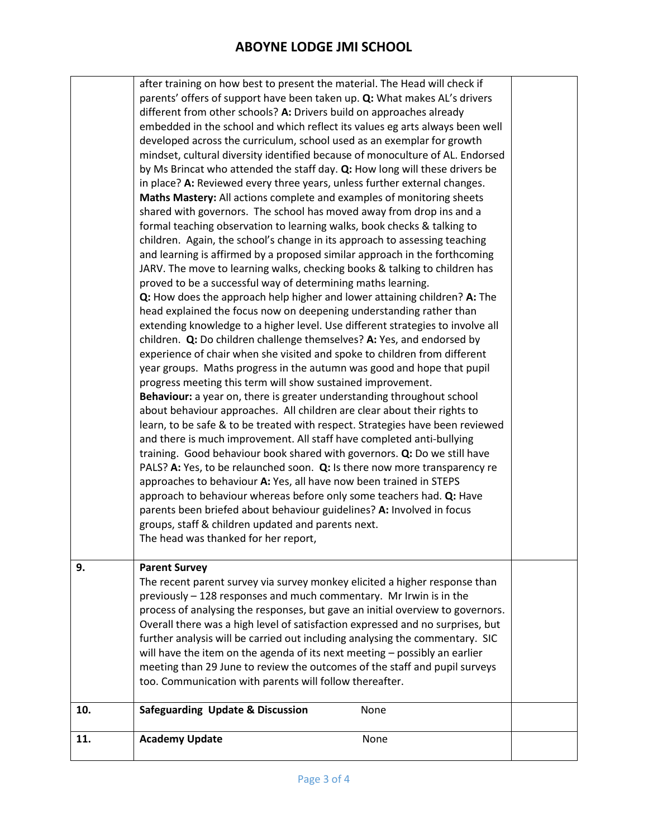|     | after training on how best to present the material. The Head will check if     |  |
|-----|--------------------------------------------------------------------------------|--|
|     | parents' offers of support have been taken up. Q: What makes AL's drivers      |  |
|     | different from other schools? A: Drivers build on approaches already           |  |
|     | embedded in the school and which reflect its values eg arts always been well   |  |
|     | developed across the curriculum, school used as an exemplar for growth         |  |
|     | mindset, cultural diversity identified because of monoculture of AL. Endorsed  |  |
|     | by Ms Brincat who attended the staff day. Q: How long will these drivers be    |  |
|     | in place? A: Reviewed every three years, unless further external changes.      |  |
|     | Maths Mastery: All actions complete and examples of monitoring sheets          |  |
|     | shared with governors. The school has moved away from drop ins and a           |  |
|     | formal teaching observation to learning walks, book checks & talking to        |  |
|     | children. Again, the school's change in its approach to assessing teaching     |  |
|     | and learning is affirmed by a proposed similar approach in the forthcoming     |  |
|     | JARV. The move to learning walks, checking books & talking to children has     |  |
|     | proved to be a successful way of determining maths learning.                   |  |
|     | Q: How does the approach help higher and lower attaining children? A: The      |  |
|     | head explained the focus now on deepening understanding rather than            |  |
|     | extending knowledge to a higher level. Use different strategies to involve all |  |
|     | children. Q: Do children challenge themselves? A: Yes, and endorsed by         |  |
|     | experience of chair when she visited and spoke to children from different      |  |
|     | year groups. Maths progress in the autumn was good and hope that pupil         |  |
|     | progress meeting this term will show sustained improvement.                    |  |
|     | Behaviour: a year on, there is greater understanding throughout school         |  |
|     | about behaviour approaches. All children are clear about their rights to       |  |
|     | learn, to be safe & to be treated with respect. Strategies have been reviewed  |  |
|     | and there is much improvement. All staff have completed anti-bullying          |  |
|     | training. Good behaviour book shared with governors. Q: Do we still have       |  |
|     | PALS? A: Yes, to be relaunched soon. Q: Is there now more transparency re      |  |
|     | approaches to behaviour A: Yes, all have now been trained in STEPS             |  |
|     | approach to behaviour whereas before only some teachers had. Q: Have           |  |
|     | parents been briefed about behaviour guidelines? A: Involved in focus          |  |
|     | groups, staff & children updated and parents next.                             |  |
|     | The head was thanked for her report,                                           |  |
|     |                                                                                |  |
| 9.  | <b>Parent Survey</b>                                                           |  |
|     | The recent parent survey via survey monkey elicited a higher response than     |  |
|     | previously - 128 responses and much commentary. Mr Irwin is in the             |  |
|     | process of analysing the responses, but gave an initial overview to governors. |  |
|     | Overall there was a high level of satisfaction expressed and no surprises, but |  |
|     | further analysis will be carried out including analysing the commentary. SIC   |  |
|     | will have the item on the agenda of its next meeting - possibly an earlier     |  |
|     | meeting than 29 June to review the outcomes of the staff and pupil surveys     |  |
|     | too. Communication with parents will follow thereafter.                        |  |
| 10. | <b>Safeguarding Update &amp; Discussion</b><br>None                            |  |
|     |                                                                                |  |
| 11. | <b>Academy Update</b><br>None                                                  |  |
|     |                                                                                |  |